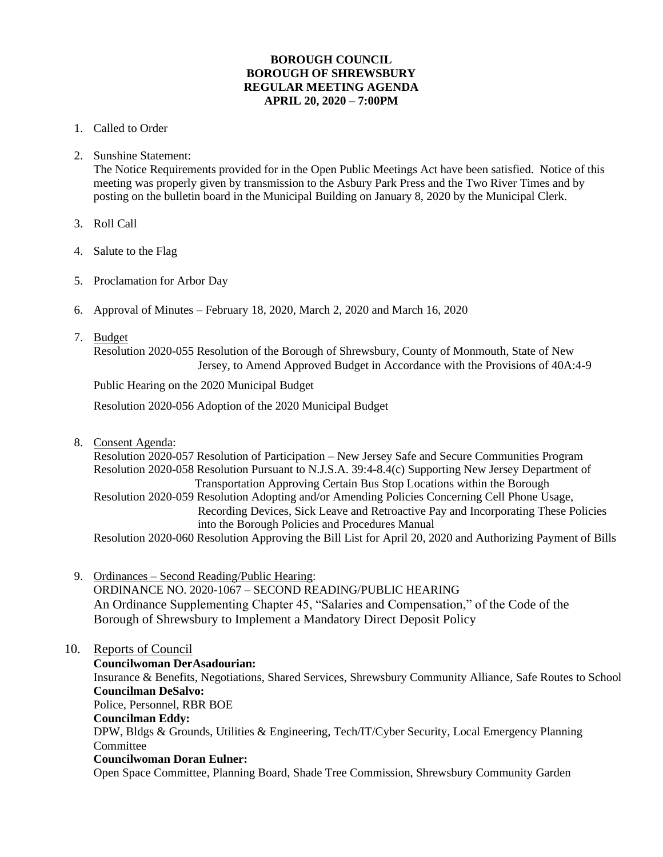## **BOROUGH COUNCIL BOROUGH OF SHREWSBURY REGULAR MEETING AGENDA APRIL 20, 2020 – 7:00PM**

- 1. Called to Order
- 2. Sunshine Statement:

The Notice Requirements provided for in the Open Public Meetings Act have been satisfied. Notice of this meeting was properly given by transmission to the Asbury Park Press and the Two River Times and by posting on the bulletin board in the Municipal Building on January 8, 2020 by the Municipal Clerk.

- 3. Roll Call
- 4. Salute to the Flag
- 5. Proclamation for Arbor Day
- 6. Approval of Minutes February 18, 2020, March 2, 2020 and March 16, 2020
- 7. Budget

Resolution 2020-055 Resolution of the Borough of Shrewsbury, County of Monmouth, State of New Jersey, to Amend Approved Budget in Accordance with the Provisions of 40A:4-9

Public Hearing on the 2020 Municipal Budget

Resolution 2020-056 Adoption of the 2020 Municipal Budget

8. Consent Agenda:

Resolution 2020-057 Resolution of Participation – New Jersey Safe and Secure Communities Program Resolution 2020-058 Resolution Pursuant to N.J.S.A. 39:4-8.4(c) Supporting New Jersey Department of Transportation Approving Certain Bus Stop Locations within the Borough Resolution 2020-059 Resolution Adopting and/or Amending Policies Concerning Cell Phone Usage, Recording Devices, Sick Leave and Retroactive Pay and Incorporating These Policies into the Borough Policies and Procedures Manual Resolution 2020-060 Resolution Approving the Bill List for April 20, 2020 and Authorizing Payment of Bills

9. Ordinances – Second Reading/Public Hearing:

ORDINANCE NO. 2020-1067 – SECOND READING/PUBLIC HEARING An Ordinance Supplementing Chapter 45, "Salaries and Compensation," of the Code of the Borough of Shrewsbury to Implement a Mandatory Direct Deposit Policy

## 10. Reports of Council

**Councilwoman DerAsadourian:** 

Insurance & Benefits, Negotiations, Shared Services, Shrewsbury Community Alliance, Safe Routes to School  **Councilman DeSalvo:** Police, Personnel, RBR BOE **Councilman Eddy:** DPW, Bldgs & Grounds, Utilities & Engineering, Tech/IT/Cyber Security, Local Emergency Planning Committee **Councilwoman Doran Eulner:**

Open Space Committee, Planning Board, Shade Tree Commission, Shrewsbury Community Garden